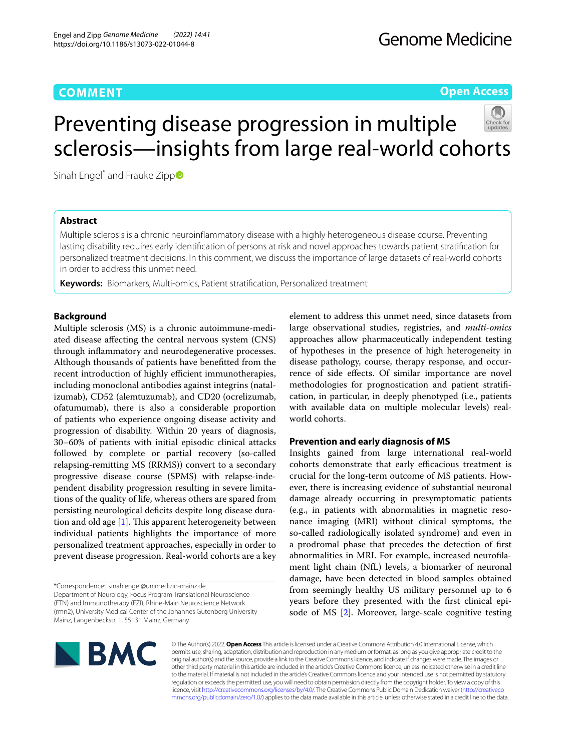# **COMMENT**

**Open Access**

# Preventing disease progression in multiple sclerosis—insights from large real-world cohorts

Sinah Engel<su[p](http://orcid.org/0000-0002-1231-1928)>\*</sup> and Frauke Zipp<sup>o</sup>

# **Abstract**

Multiple sclerosis is a chronic neuroinfammatory disease with a highly heterogeneous disease course. Preventing lasting disability requires early identifcation of persons at risk and novel approaches towards patient stratifcation for personalized treatment decisions. In this comment, we discuss the importance of large datasets of real-world cohorts in order to address this unmet need.

**Keywords:** Biomarkers, Multi-omics, Patient stratifcation, Personalized treatment

# **Background**

Multiple sclerosis (MS) is a chronic autoimmune-mediated disease afecting the central nervous system (CNS) through infammatory and neurodegenerative processes. Although thousands of patients have beneftted from the recent introduction of highly efficient immunotherapies, including monoclonal antibodies against integrins (natalizumab), CD52 (alemtuzumab), and CD20 (ocrelizumab, ofatumumab), there is also a considerable proportion of patients who experience ongoing disease activity and progression of disability. Within 20 years of diagnosis, 30–60% of patients with initial episodic clinical attacks followed by complete or partial recovery (so-called relapsing-remitting MS (RRMS)) convert to a secondary progressive disease course (SPMS) with relapse-independent disability progression resulting in severe limitations of the quality of life, whereas others are spared from persisting neurological deficits despite long disease duration and old age  $[1]$  $[1]$ . This apparent heterogeneity between individual patients highlights the importance of more personalized treatment approaches, especially in order to prevent disease progression. Real-world cohorts are a key

\*Correspondence: sinah.engel@unimedizin-mainz.de Department of Neurology, Focus Program Translational Neuroscience (FTN) and Immunotherapy (FZI), Rhine-Main Neuroscience Network (rmn2), University Medical Center of the Johannes Gutenberg University Mainz, Langenbeckstr. 1, 55131 Mainz, Germany

element to address this unmet need, since datasets from large observational studies, registries, and *multi-omics* approaches allow pharmaceutically independent testing of hypotheses in the presence of high heterogeneity in disease pathology, course, therapy response, and occurrence of side efects. Of similar importance are novel methodologies for prognostication and patient stratifcation, in particular, in deeply phenotyped (i.e., patients with available data on multiple molecular levels) realworld cohorts.

# **Prevention and early diagnosis of MS**

Insights gained from large international real-world cohorts demonstrate that early efficacious treatment is crucial for the long-term outcome of MS patients. However, there is increasing evidence of substantial neuronal damage already occurring in presymptomatic patients (e.g., in patients with abnormalities in magnetic resonance imaging (MRI) without clinical symptoms, the so-called radiologically isolated syndrome) and even in a prodromal phase that precedes the detection of frst abnormalities in MRI. For example, increased neuroflament light chain (NfL) levels, a biomarker of neuronal damage, have been detected in blood samples obtained from seemingly healthy US military personnel up to 6 years before they presented with the frst clinical episode of MS [\[2](#page-2-1)]. Moreover, large-scale cognitive testing



© The Author(s) 2022. **Open Access** This article is licensed under a Creative Commons Attribution 4.0 International License, which permits use, sharing, adaptation, distribution and reproduction in any medium or format, as long as you give appropriate credit to the original author(s) and the source, provide a link to the Creative Commons licence, and indicate if changes were made. The images or other third party material in this article are included in the article's Creative Commons licence, unless indicated otherwise in a credit line to the material. If material is not included in the article's Creative Commons licence and your intended use is not permitted by statutory regulation or exceeds the permitted use, you will need to obtain permission directly from the copyright holder. To view a copy of this licence, visit [http://creativecommons.org/licenses/by/4.0/.](http://creativecommons.org/licenses/by/4.0/) The Creative Commons Public Domain Dedication waiver ([http://creativeco](http://creativecommons.org/publicdomain/zero/1.0/) [mmons.org/publicdomain/zero/1.0/](http://creativecommons.org/publicdomain/zero/1.0/)) applies to the data made available in this article, unless otherwise stated in a credit line to the data.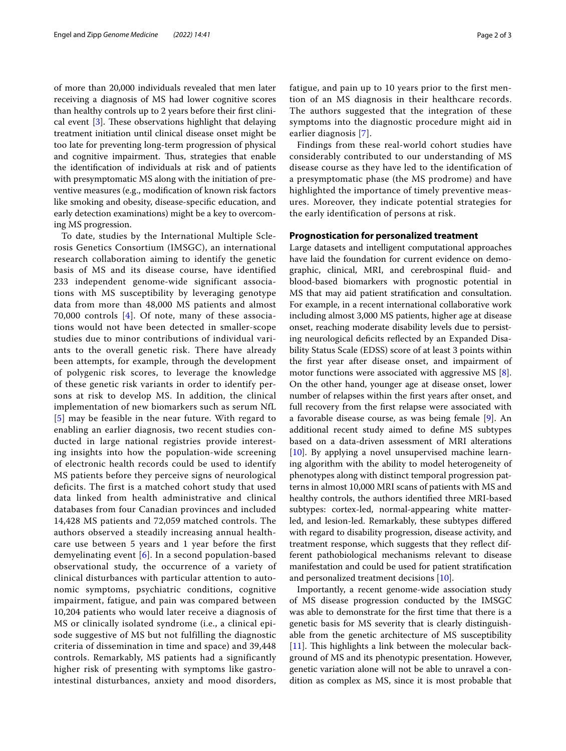of more than 20,000 individuals revealed that men later receiving a diagnosis of MS had lower cognitive scores than healthy controls up to 2 years before their frst clinical event  $[3]$  $[3]$ . These observations highlight that delaying treatment initiation until clinical disease onset might be too late for preventing long-term progression of physical and cognitive impairment. Thus, strategies that enable the identifcation of individuals at risk and of patients with presymptomatic MS along with the initiation of preventive measures (e.g., modifcation of known risk factors like smoking and obesity, disease-specifc education, and early detection examinations) might be a key to overcoming MS progression.

To date, studies by the International Multiple Sclerosis Genetics Consortium (IMSGC), an international research collaboration aiming to identify the genetic basis of MS and its disease course, have identified 233 independent genome-wide significant associations with MS susceptibility by leveraging genotype data from more than 48,000 MS patients and almost 70,000 controls [[4](#page-2-3)]. Of note, many of these associations would not have been detected in smaller-scope studies due to minor contributions of individual variants to the overall genetic risk. There have already been attempts, for example, through the development of polygenic risk scores, to leverage the knowledge of these genetic risk variants in order to identify persons at risk to develop MS. In addition, the clinical implementation of new biomarkers such as serum NfL [[5](#page-2-4)] may be feasible in the near future. With regard to enabling an earlier diagnosis, two recent studies conducted in large national registries provide interesting insights into how the population-wide screening of electronic health records could be used to identify MS patients before they perceive signs of neurological deficits. The first is a matched cohort study that used data linked from health administrative and clinical databases from four Canadian provinces and included 14,428 MS patients and 72,059 matched controls. The authors observed a steadily increasing annual healthcare use between 5 years and 1 year before the first demyelinating event [[6\]](#page-2-5). In a second population-based observational study, the occurrence of a variety of clinical disturbances with particular attention to autonomic symptoms, psychiatric conditions, cognitive impairment, fatigue, and pain was compared between 10,204 patients who would later receive a diagnosis of MS or clinically isolated syndrome (i.e., a clinical episode suggestive of MS but not fulfilling the diagnostic criteria of dissemination in time and space) and 39,448 controls. Remarkably, MS patients had a significantly higher risk of presenting with symptoms like gastrointestinal disturbances, anxiety and mood disorders, fatigue, and pain up to 10 years prior to the first mention of an MS diagnosis in their healthcare records. The authors suggested that the integration of these symptoms into the diagnostic procedure might aid in earlier diagnosis [[7\]](#page-2-6).

Findings from these real-world cohort studies have considerably contributed to our understanding of MS disease course as they have led to the identification of a presymptomatic phase (the MS prodrome) and have highlighted the importance of timely preventive measures. Moreover, they indicate potential strategies for the early identification of persons at risk.

# **Prognostication for personalized treatment**

Large datasets and intelligent computational approaches have laid the foundation for current evidence on demographic, clinical, MRI, and cerebrospinal fuid- and blood-based biomarkers with prognostic potential in MS that may aid patient stratifcation and consultation. For example, in a recent international collaborative work including almost 3,000 MS patients, higher age at disease onset, reaching moderate disability levels due to persisting neurological deficits reflected by an Expanded Disability Status Scale (EDSS) score of at least 3 points within the frst year after disease onset, and impairment of motor functions were associated with aggressive MS [\[8](#page-2-7)]. On the other hand, younger age at disease onset, lower number of relapses within the frst years after onset, and full recovery from the frst relapse were associated with a favorable disease course, as was being female [\[9\]](#page-2-8). An additional recent study aimed to defne MS subtypes based on a data-driven assessment of MRI alterations [[10\]](#page-2-9). By applying a novel unsupervised machine learning algorithm with the ability to model heterogeneity of phenotypes along with distinct temporal progression patterns in almost 10,000 MRI scans of patients with MS and healthy controls, the authors identifed three MRI-based subtypes: cortex-led, normal-appearing white matterled, and lesion-led. Remarkably, these subtypes difered with regard to disability progression, disease activity, and treatment response, which suggests that they refect different pathobiological mechanisms relevant to disease manifestation and could be used for patient stratifcation and personalized treatment decisions [[10\]](#page-2-9).

Importantly, a recent genome-wide association study of MS disease progression conducted by the IMSGC was able to demonstrate for the frst time that there is a genetic basis for MS severity that is clearly distinguishable from the genetic architecture of MS susceptibility [[11\]](#page-2-10). This highlights a link between the molecular background of MS and its phenotypic presentation. However, genetic variation alone will not be able to unravel a condition as complex as MS, since it is most probable that